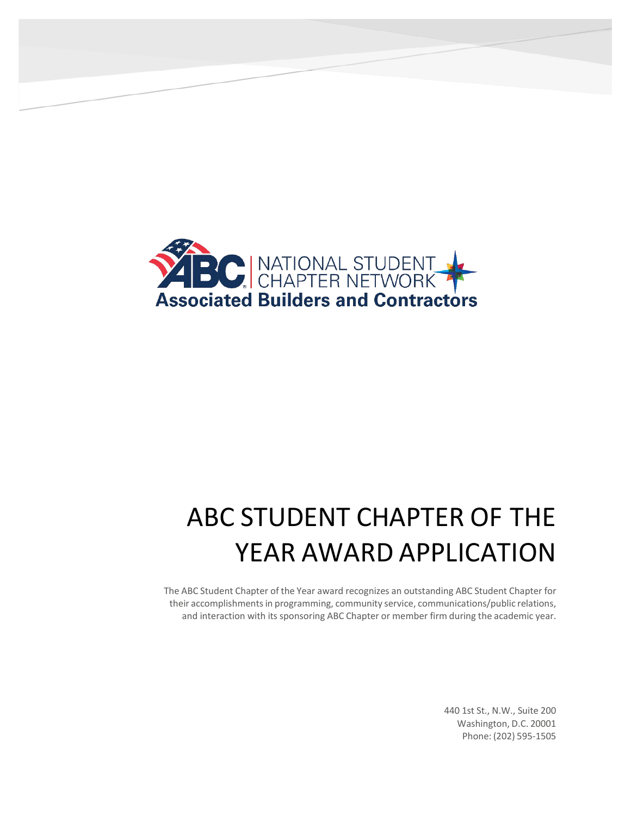

# ABC STUDENT CHAPTER OF THE YEAR AWARD APPLICATION

The ABC Student Chapter of the Year award recognizes an outstanding ABC Student Chapter for their accomplishmentsin programming, community service, communications/public relations, and interaction with its sponsoring ABC Chapter or member firm during the academic year.

> 440 1st St., N.W., Suite 200 Washington, D.C. 20001 Phone: (202) 595-1505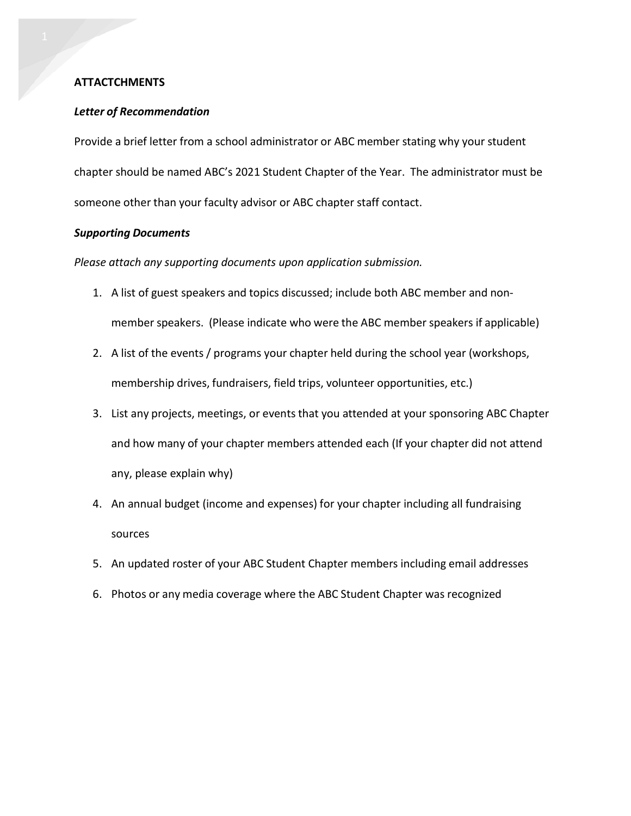#### **ATTACTCHMENTS**

#### *Letter of Recommendation*

Provide a brief letter from a school administrator or ABC member stating why your student chapter should be named ABC's 2021 Student Chapter of the Year. The administrator must be someone other than your faculty advisor or ABC chapter staff contact.

## *Supporting Documents*

*Please attach any supporting documents upon application submission.*

- 1. A list of guest speakers and topics discussed; include both ABC member and nonmember speakers. (Please indicate who were the ABC member speakers if applicable)
- 2. A list of the events / programs your chapter held during the school year (workshops, membership drives, fundraisers, field trips, volunteer opportunities, etc.)
- 3. List any projects, meetings, or events that you attended at your sponsoring ABC Chapter and how many of your chapter members attended each (If your chapter did not attend any, please explain why)
- 4. An annual budget (income and expenses) for your chapter including all fundraising sources
- 5. An updated roster of your ABC Student Chapter members including email addresses
- 6. Photos or any media coverage where the ABC Student Chapter was recognized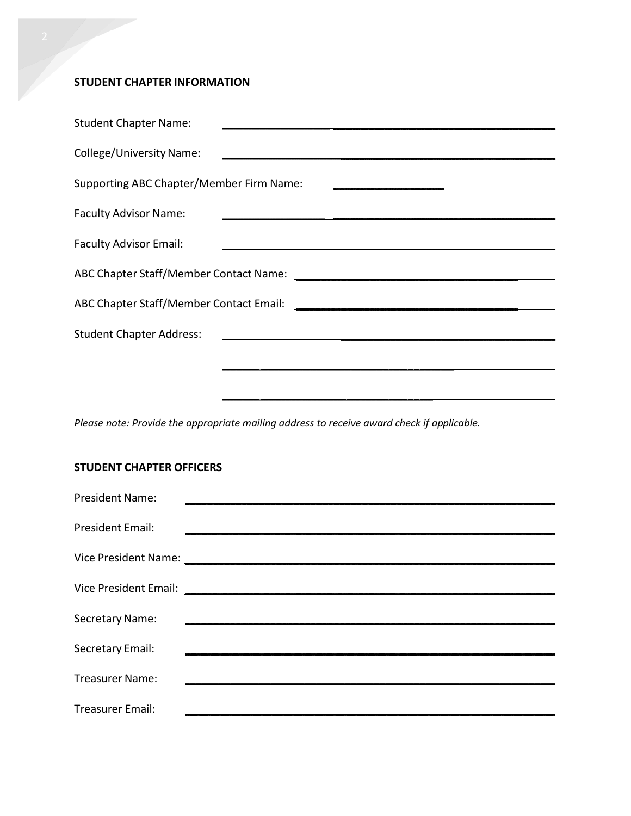## **STUDENT CHAPTER INFORMATION**

| <b>Student Chapter Name:</b>             |                                                                                                                       |
|------------------------------------------|-----------------------------------------------------------------------------------------------------------------------|
| College/University Name:                 | <u> 1980 - Johann Barn, amerikan besteman besteman besteman besteman besteman besteman besteman besteman besteman</u> |
| Supporting ABC Chapter/Member Firm Name: |                                                                                                                       |
| <b>Faculty Advisor Name:</b>             | <u> 1980 - Johann Barn, amerikansk politiker (d. 1980)</u>                                                            |
| <b>Faculty Advisor Email:</b>            |                                                                                                                       |
|                                          |                                                                                                                       |
|                                          |                                                                                                                       |
| <b>Student Chapter Address:</b>          |                                                                                                                       |
|                                          |                                                                                                                       |
|                                          |                                                                                                                       |

<u> 1989 - Johann John Stein, mars ar yn y brening yn y brening yn y brening yn y brening yn y brening yn y breni</u>

*Please note: Provide the appropriate mailing address to receive award check if applicable.*

## **STUDENT CHAPTER OFFICERS**

| <b>President Name:</b>  |  |
|-------------------------|--|
| <b>President Email:</b> |  |
|                         |  |
|                         |  |
|                         |  |
| Secretary Name:         |  |
| Secretary Email:        |  |
| <b>Treasurer Name:</b>  |  |
| <b>Treasurer Email:</b> |  |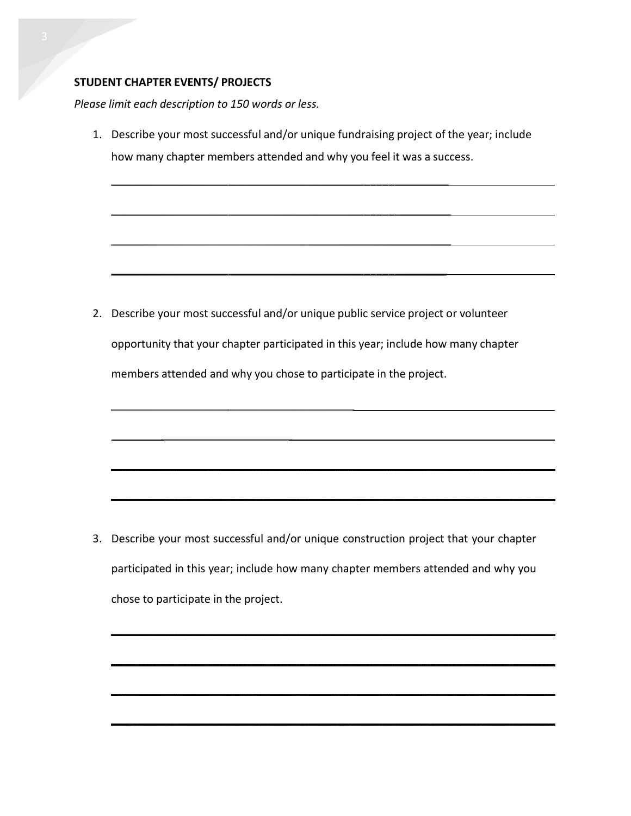## **STUDENT CHAPTER EVENTS/ PROJECTS**

*Please limit each description to 150 words or less.*

1. Describe your most successful and/or unique fundraising project of the year; include how many chapter members attended and why you feel it was a success.

2. Describe your most successful and/or unique public service project or volunteer opportunity that your chapter participated in this year; include how many chapter members attended and why you chose to participate in the project.

3. Describe your most successful and/or unique construction project that your chapter participated in this year; include how many chapter members attended and why you chose to participate in the project.